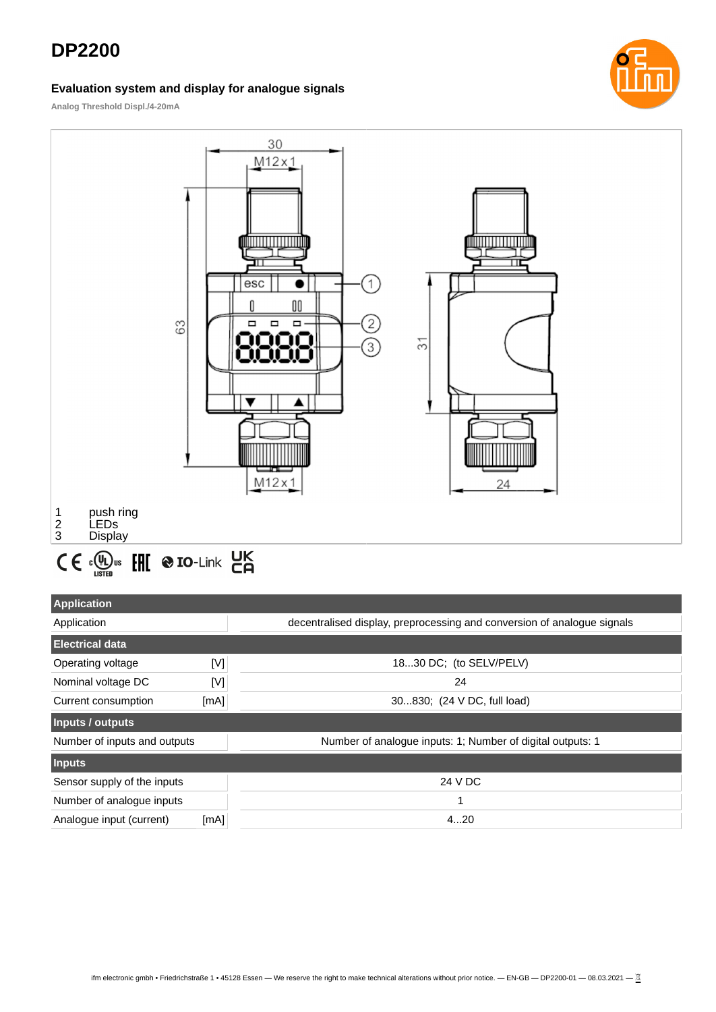# **DP2200**

#### **Evaluation system and display for analogue signals**



**Analog Threshold Displ./4-20mA**



| <b>Application</b>           |      |                                                                         |  |
|------------------------------|------|-------------------------------------------------------------------------|--|
| Application                  |      | decentralised display, preprocessing and conversion of analogue signals |  |
| <b>Electrical data</b>       |      |                                                                         |  |
| Operating voltage            | [V]  | 1830 DC; (to SELV/PELV)                                                 |  |
| Nominal voltage DC           | M    | 24                                                                      |  |
| Current consumption          | [mA] | 30830; (24 V DC, full load)                                             |  |
| Inputs / outputs             |      |                                                                         |  |
| Number of inputs and outputs |      | Number of analogue inputs: 1; Number of digital outputs: 1              |  |
| <b>Inputs</b>                |      |                                                                         |  |
| Sensor supply of the inputs  |      | 24 V DC                                                                 |  |
| Number of analogue inputs    |      | 1                                                                       |  |
| Analogue input (current)     | [mA] | 420                                                                     |  |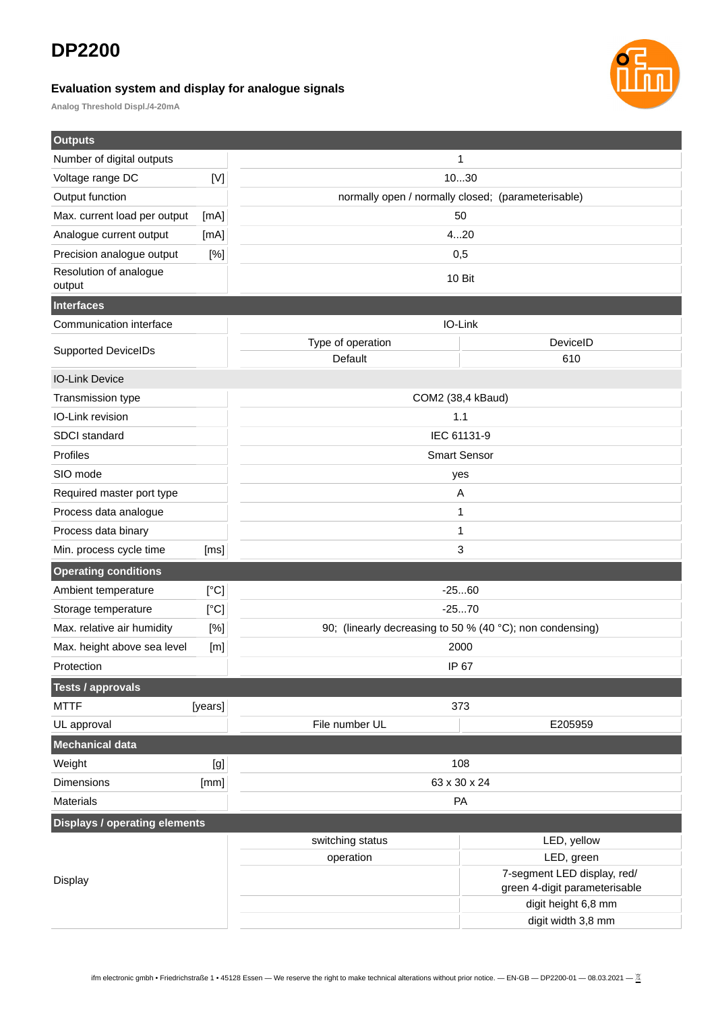## **DP2200**

#### **Evaluation system and display for analogue signals**



**Analog Threshold Displ./4-20mA**

| <b>Outputs</b>                       |             |                                                           |                                                              |  |
|--------------------------------------|-------------|-----------------------------------------------------------|--------------------------------------------------------------|--|
| Number of digital outputs            |             |                                                           | 1                                                            |  |
| Voltage range DC                     | $[{\sf V}]$ |                                                           | 1030                                                         |  |
| Output function                      |             |                                                           | normally open / normally closed; (parameterisable)           |  |
| Max. current load per output         | [mA]        |                                                           | 50                                                           |  |
| Analogue current output              | [mA]        |                                                           | 420                                                          |  |
| Precision analogue output            | [%]         | 0,5                                                       |                                                              |  |
| Resolution of analogue<br>output     |             | 10 Bit                                                    |                                                              |  |
| <b>Interfaces</b>                    |             |                                                           |                                                              |  |
| Communication interface              |             |                                                           | IO-Link                                                      |  |
| <b>Supported DeviceIDs</b>           |             | Type of operation<br>Default                              | DeviceID<br>610                                              |  |
| <b>IO-Link Device</b>                |             |                                                           |                                                              |  |
| Transmission type                    |             | COM2 (38,4 kBaud)                                         |                                                              |  |
| IO-Link revision                     |             | 1.1                                                       |                                                              |  |
| SDCI standard                        |             | IEC 61131-9                                               |                                                              |  |
| Profiles                             |             | <b>Smart Sensor</b>                                       |                                                              |  |
| SIO mode                             |             | yes                                                       |                                                              |  |
| Required master port type            |             |                                                           | A                                                            |  |
| Process data analogue                |             |                                                           | 1                                                            |  |
| Process data binary                  |             |                                                           | 1                                                            |  |
| Min. process cycle time              | [ms]        |                                                           | 3                                                            |  |
| <b>Operating conditions</b>          |             |                                                           |                                                              |  |
| Ambient temperature                  | [°C]        |                                                           | $-2560$                                                      |  |
| Storage temperature                  | [°C]        | $-2570$                                                   |                                                              |  |
| Max. relative air humidity           | [%]         | 90; (linearly decreasing to 50 % (40 °C); non condensing) |                                                              |  |
| Max. height above sea level          | [m]         | 2000                                                      |                                                              |  |
| Protection                           |             | IP 67                                                     |                                                              |  |
| <b>Tests / approvals</b>             |             |                                                           |                                                              |  |
| <b>MTTF</b>                          | [years]     |                                                           | 373                                                          |  |
| UL approval                          |             | File number UL                                            | E205959                                                      |  |
| Mechanical data                      |             |                                                           |                                                              |  |
| Weight                               | [g]         |                                                           | 108                                                          |  |
| <b>Dimensions</b>                    | [mm]        | 63 x 30 x 24                                              |                                                              |  |
| Materials                            |             | PA                                                        |                                                              |  |
| <b>Displays / operating elements</b> |             |                                                           |                                                              |  |
|                                      |             | switching status                                          | LED, yellow                                                  |  |
|                                      |             | operation                                                 | LED, green                                                   |  |
| <b>Display</b>                       |             |                                                           | 7-segment LED display, red/<br>green 4-digit parameterisable |  |
|                                      |             |                                                           | digit height 6,8 mm                                          |  |
|                                      |             |                                                           | digit width 3,8 mm                                           |  |